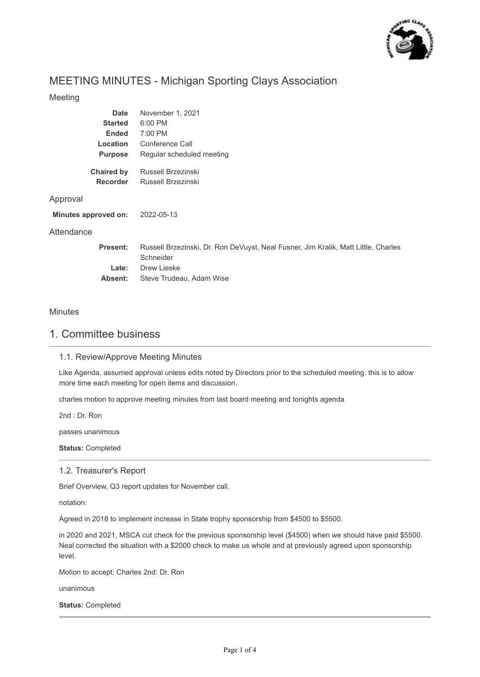

# MEETING MINUTES - Michigan Sporting Clays Association

## Meeting

| <b>Date</b><br><b>Started</b><br><b>Ended</b><br>Location<br><b>Purpose</b> | November 1, 2021<br>6:00 PM<br>7:00 PM<br>Conference Call<br>Regular scheduled meeting          |
|-----------------------------------------------------------------------------|-------------------------------------------------------------------------------------------------|
| <b>Chaired by</b><br><b>Recorder</b>                                        | Russell Brzezinski<br>Russell Brzezinski                                                        |
| Approval                                                                    |                                                                                                 |
| Minutes approved on:                                                        | 2022-05-13                                                                                      |
| Attendance                                                                  |                                                                                                 |
| Present:                                                                    | Russell Brzezinski, Dr. Ron DeVuyst, Neal Fusner, Jim Kralik, Matt Little, Charles<br>Schneider |
| Late:                                                                       | Drew Lieske                                                                                     |
| Absent:                                                                     | Steve Trudeau, Adam Wise                                                                        |

#### **Minutes**

## 1. Committee business

## 1.1. Review/Approve Meeting Minutes

Like Agenda, assumed approval unless edits noted by Directors prior to the scheduled meeting. this is to allow more time each meeting for open items and discussion.

charles motion to approve meeting minutes from last board meeting and tonights agenda

2nd : Dr. Ron

passes unanimous

**Status:** Completed

#### 1.2. Treasurer's Report

Brief Overview, Q3 report updates for November call.

notation:

Agreed in 2018 to implement increase in State trophy sponsorship from \$4500 to \$5500.

in 2020 and 2021, MSCA cut check for the previous sponsorship level (\$4500) when we should have paid \$5500. Neal corrected the situation with a \$2000 check to make us whole and at previously agreed upon sponsorship level.

Motion to accept: Charles 2nd: Dr. Ron

unanimous

**Status:** Completed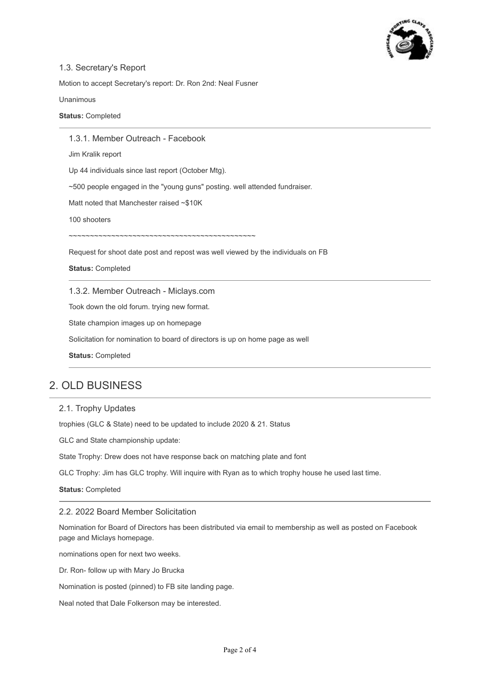

## 1.3. Secretary's Report

Motion to accept Secretary's report: Dr. Ron 2nd: Neal Fusner

Unanimous

**Status:** Completed

1.3.1. Member Outreach - Facebook

Jim Kralik report

Up 44 individuals since last report (October Mtg).

~500 people engaged in the "young guns" posting. well attended fundraiser.

Matt noted that Manchester raised ~\$10K

100 shooters

~~~~~~~~~~~~~~~~~~~~~~~~~~~~~~~~~~~~~~~~~~~~

Request for shoot date post and repost was well viewed by the individuals on FB

**Status:** Completed

1.3.2. Member Outreach - Miclays.com

Took down the old forum. trying new format.

State champion images up on homepage

Solicitation for nomination to board of directors is up on home page as well

**Status:** Completed

# 2. OLD BUSINESS

#### 2.1. Trophy Updates

trophies (GLC & State) need to be updated to include 2020 & 21. Status

GLC and State championship update:

State Trophy: Drew does not have response back on matching plate and font

GLC Trophy: Jim has GLC trophy. Will inquire with Ryan as to which trophy house he used last time.

**Status:** Completed

#### 2.2. 2022 Board Member Solicitation

Nomination for Board of Directors has been distributed via email to membership as well as posted on Facebook page and Miclays homepage.

nominations open for next two weeks.

Dr. Ron- follow up with Mary Jo Brucka

Nomination is posted (pinned) to FB site landing page.

Neal noted that Dale Folkerson may be interested.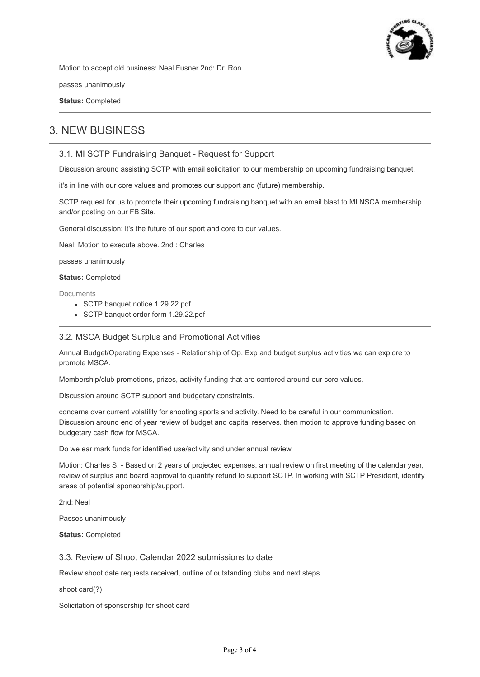

Motion to accept old business: Neal Fusner 2nd: Dr. Ron

passes unanimously

**Status:** Completed

# 3. NEW BUSINESS

## 3.1. MI SCTP Fundraising Banquet - Request for Support

Discussion around assisting SCTP with email solicitation to our membership on upcoming fundraising banquet.

it's in line with our core values and promotes our support and (future) membership.

SCTP request for us to promote their upcoming fundraising banquet with an email blast to MI NSCA membership and/or posting on our FB Site.

General discussion: it's the future of our sport and core to our values.

Neal: Motion to execute above. 2nd : Charles

passes unanimously

**Status:** Completed

**Documents** 

- SCTP banquet notice 1.29.22.pdf
- SCTP banquet order form 1.29.22.pdf

#### 3.2. MSCA Budget Surplus and Promotional Activities

Annual Budget/Operating Expenses - Relationship of Op. Exp and budget surplus activities we can explore to promote MSCA.

Membership/club promotions, prizes, activity funding that are centered around our core values.

Discussion around SCTP support and budgetary constraints.

concerns over current volatility for shooting sports and activity. Need to be careful in our communication. Discussion around end of year review of budget and capital reserves. then motion to approve funding based on budgetary cash flow for MSCA.

Do we ear mark funds for identified use/activity and under annual review

Motion: Charles S. - Based on 2 years of projected expenses, annual review on first meeting of the calendar year, review of surplus and board approval to quantify refund to support SCTP. In working with SCTP President, identify areas of potential sponsorship/support.

2nd: Neal

Passes unanimously

**Status:** Completed

#### 3.3. Review of Shoot Calendar 2022 submissions to date

Review shoot date requests received, outline of outstanding clubs and next steps.

shoot card(?)

Solicitation of sponsorship for shoot card